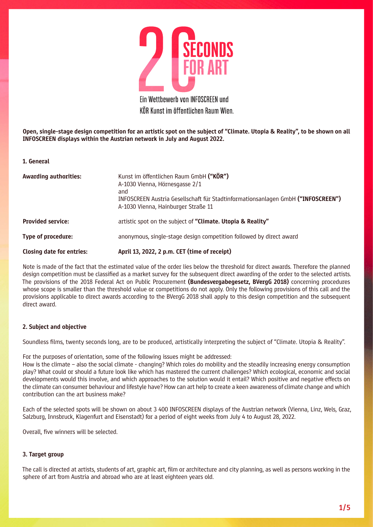

Ein Wettbewerb von INFOSCREEN und KÖR Kunst im öffentlichen Raum Wien.

Open, single-stage design competition for an artistic spot on the subject of "Climate. Utopia & Reality", to be shown on all INFOSCREEN displays within the Austrian network in July and August 2022.

1. General

| <b>Awarding authorities:</b>     | Kunst im öffentlichen Raum GmbH ("KÖR")<br>A-1030 Vienna, Hörnesgasse 2/1<br>and<br>INFOSCREEN Austria Gesellschaft für Stadtinformationsanlagen GmbH ("INFOSCREEN")<br>A-1030 Vienna, Hainburger Straße 11 |
|----------------------------------|-------------------------------------------------------------------------------------------------------------------------------------------------------------------------------------------------------------|
| <b>Provided service:</b>         | artistic spot on the subject of "Climate. Utopia & Reality"                                                                                                                                                 |
| Type of procedure:               | anonymous, single-stage design competition followed by direct award                                                                                                                                         |
| <b>Closing date for entries:</b> | April 13, 2022, 2 p.m. CET (time of receipt)                                                                                                                                                                |

Note is made of the fact that the estimated value of the order lies below the threshold for direct awards. Therefore the planned design competition must be classified as a market survey for the subsequent direct awarding of the order to the selected artists. The provisions of the 2018 Federal Act on Public Procurement (Bundesvergabegesetz, BVergG 2018) concerning procedures whose scope is smaller than the threshold value or competitions do not apply. Only the following provisions of this call and the provisions applicable to direct awards according to the BVergG 2018 shall apply to this design competition and the subsequent direct award.

#### 2. Subject and objective

Soundless films, twenty seconds long, are to be produced, artistically interpreting the subject of "Climate. Utopia & Reality".

For the purposes of orientation, some of the following issues might be addressed:

How is the climate – also the social climate - changing? Which roles do mobility and the steadily increasing energy consumption play? What could or should a future look like which has mastered the current challenges? Which ecological, economic and social developments would this involve, and which approaches to the solution would it entail? Which positive and negative effects on the climate can consumer behaviour and lifestyle have? How can art help to create a keen awareness of climate change and which contribution can the art business make?

Each of the selected spots will be shown on about 3 400 INFOSCREEN displays of the Austrian network (Vienna, Linz, Wels, Graz, Salzburg, Innsbruck, Klagenfurt and Eisenstadt) for a period of eight weeks from July 4 to August 28, 2022.

Overall, five winners will be selected.

### 3. Target group

The call is directed at artists, students of art, graphic art, film or architecture and city planning, as well as persons working in the sphere of art from Austria and abroad who are at least eighteen years old.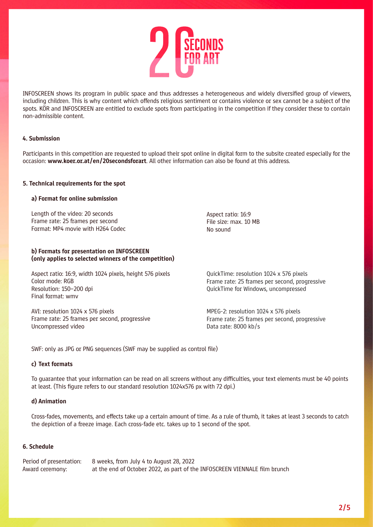

INFOSCREEN shows its program in public space and thus addresses a heterogeneous and widely diversified group of viewers, including children. This is why content which offends religious sentiment or contains violence or sex cannot be a subject of the spots. KÖR and INFOSCREEN are entitled to exclude spots from participating in the competition if they consider these to contain non-admissible content.

# 4. Submission

Participants in this competition are requested to upload their spot online in digital form to the subsite created especially for the occasion: www.koer.or.at/en/20secondsforart. All other information can also be found at this address.

### 5. Technical requirements for the spot

### a) Format for online submission

Length of the video: 20 seconds Frame rate: 25 frames per second Format: MP4 movie with H264 Codec

### b) Formats for presentation on INFOSCREEN (only applies to selected winners of the competition)

Aspect ratio: 16:9, width 1024 pixels, height 576 pixels Color mode: RGB Resolution: 150–200 dpi Final format: wmv

AVI: resolution 1024 x 576 pixels Frame rate: 25 frames per second, progressive Uncompressed video

Aspect ratio: 16:9 File size: max. 10 MB No sound

QuickTime: resolution 1024 x 576 pixels Frame rate: 25 frames per second, progressive QuickTime for Windows, uncompressed

MPEG-2: resolution 1024 x 576 pixels Frame rate: 25 frames per second, progressive Data rate: 8000 kb/s

SWF: only as JPG or PNG sequences (SWF may be supplied as control file)

# c) Text formats

To guarantee that your information can be read on all screens without any difficulties, your text elements must be 40 points at least. (This figure refers to our standard resolution 1024x576 px with 72 dpi.)

### d) Animation

Cross-fades, movements, and effects take up a certain amount of time. As a rule of thumb, it takes at least 3 seconds to catch the depiction of a freeze image. Each cross-fade etc. takes up to 1 second of the spot.

### 6. Schedule

|                 | Period of presentation: 8 weeks, from July 4 to August 28, 2022            |
|-----------------|----------------------------------------------------------------------------|
| Award ceremony: | at the end of October 2022, as part of the INFOSCREEN VIENNALE film brunch |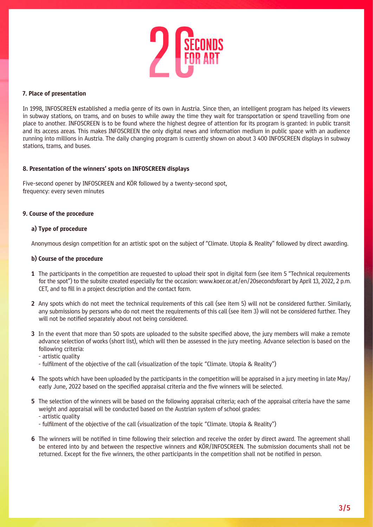

# 7. Place of presentation

In 1998, INFOSCREEN established a media genre of its own in Austria. Since then, an intelligent program has helped its viewers in subway stations, on trams, and on buses to while away the time they wait for transportation or spend travelling from one place to another. INFOSCREEN is to be found where the highest degree of attention for its program is granted: in public transit and its access areas. This makes INFOSCREEN the only digital news and information medium in public space with an audience running into millions in Austria. The daily changing program is currently shown on about 3 400 INFOSCREEN displays in subway stations, trams, and buses.

# 8. Presentation of the winners' spots on INFOSCREEN displays

Five-second opener by INFOSCREEN and KÖR followed by a twenty-second spot, frequency: every seven minutes

#### 9. Course of the procedure

#### a) Type of procedure

Anonymous design competition for an artistic spot on the subject of "Climate. Utopia & Reality" followed by direct awarding.

#### b) Course of the procedure

- 1 The participants in the competition are requested to upload their spot in digital form (see item 5 "Technical requirements for the spot") to the subsite created especially for the occasion: www.koer.or.at/en/20secondsforart by April 13, 2022, 2 p.m. CET, and to fill in a project description and the contact form.
- 2 Any spots which do not meet the technical requirements of this call (see item 5) will not be considered further. Similarly, any submissions by persons who do not meet the requirements of this call (see item 3) will not be considered further. They will not be notified separately about not being considered.
- 3 In the event that more than 50 spots are uploaded to the subsite specified above, the jury members will make a remote advance selection of works (short list), which will then be assessed in the jury meeting. Advance selection is based on the following criteria:
	- artistic quality
	- fulfilment of the objective of the call (visualization of the topic "Climate. Utopia & Reality")
- 4 The spots which have been uploaded by the participants in the competition will be appraised in a jury meeting in late May/ early June, 2022 based on the specified appraisal criteria and the five winners will be selected.
- 5 The selection of the winners will be based on the following appraisal criteria; each of the appraisal criteria have the same weight and appraisal will be conducted based on the Austrian system of school grades: - artistic quality
	- fulfilment of the objective of the call (visualization of the topic "Climate. Utopia & Reality")
- 6 The winners will be notified in time following their selection and receive the order by direct award. The agreement shall be entered into by and between the respective winners and KÖR/INFOSCREEN. The submission documents shall not be returned. Except for the five winners, the other participants in the competition shall not be notified in person.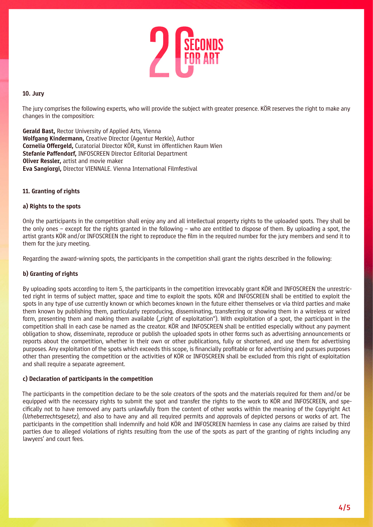

# 10. Jury

The jury comprises the following experts, who will provide the subject with greater presence. KÖR reserves the right to make any changes in the composition:

Gerald Bast, Rector University of Applied Arts, Vienna Wolfgang Kindermann, Creative Director (Agentur Merkle), Author Cornelia Offergeld, Curatorial Director KÖR, Kunst im öffentlichen Raum Wien Stefanie Paffendorf, INFOSCREEN Director Editorial Department **Oliver Ressler, artist and movie maker** Eva Sangiorgi, Director VIENNALE. Vienna International Filmfestival

# 11. Granting of rights

# a) Rights to the spots

Only the participants in the competition shall enjoy any and all intellectual property rights to the uploaded spots. They shall be the only ones – except for the rights granted in the following – who are entitled to dispose of them. By uploading a spot, the artist grants KÖR and/or INFOSCREEN the right to reproduce the film in the required number for the jury members and send it to them for the jury meeting.

Regarding the award-winning spots, the participants in the competition shall grant the rights described in the following:

# b) Granting of rights

By uploading spots according to item 5, the participants in the competition irrevocably grant KÖR and INFOSCREEN the unrestricted right in terms of subject matter, space and time to exploit the spots. KÖR and INFOSCREEN shall be entitled to exploit the spots in any type of use currently known or which becomes known in the future either themselves or via third parties and make them known by publishing them, particularly reproducing, disseminating, transferring or showing them in a wireless or wired form, presenting them and making them available ("right of exploitation"). With exploitation of a spot, the participant in the competition shall in each case be named as the creator. KÖR and INFOSCREEN shall be entitled especially without any payment obligation to show, disseminate, reproduce or publish the uploaded spots in other forms such as advertising announcements or reports about the competition, whether in their own or other publications, fully or shortened, and use them for advertising purposes. Any exploitation of the spots which exceeds this scope, is financially profitable or for advertising and pursues purposes other than presenting the competition or the activities of KÖR or INFOSCREEN shall be excluded from this right of exploitation and shall require a separate agreement.

#### c) Declaration of participants in the competition

The participants in the competition declare to be the sole creators of the spots and the materials required for them and/or be equipped with the necessary rights to submit the spot and transfer the rights to the work to KÖR and INFOSCREEN, and specifically not to have removed any parts unlawfully from the content of other works within the meaning of the Copyright Act *(Urheberrechtsgesetz)*, and also to have any and all required permits and approvals of depicted persons or works of art. The participants in the competition shall indemnify and hold KÖR and INFOSCREEN harmless in case any claims are raised by third parties due to alleged violations of rights resulting from the use of the spots as part of the granting of rights including any lawyers' and court fees.